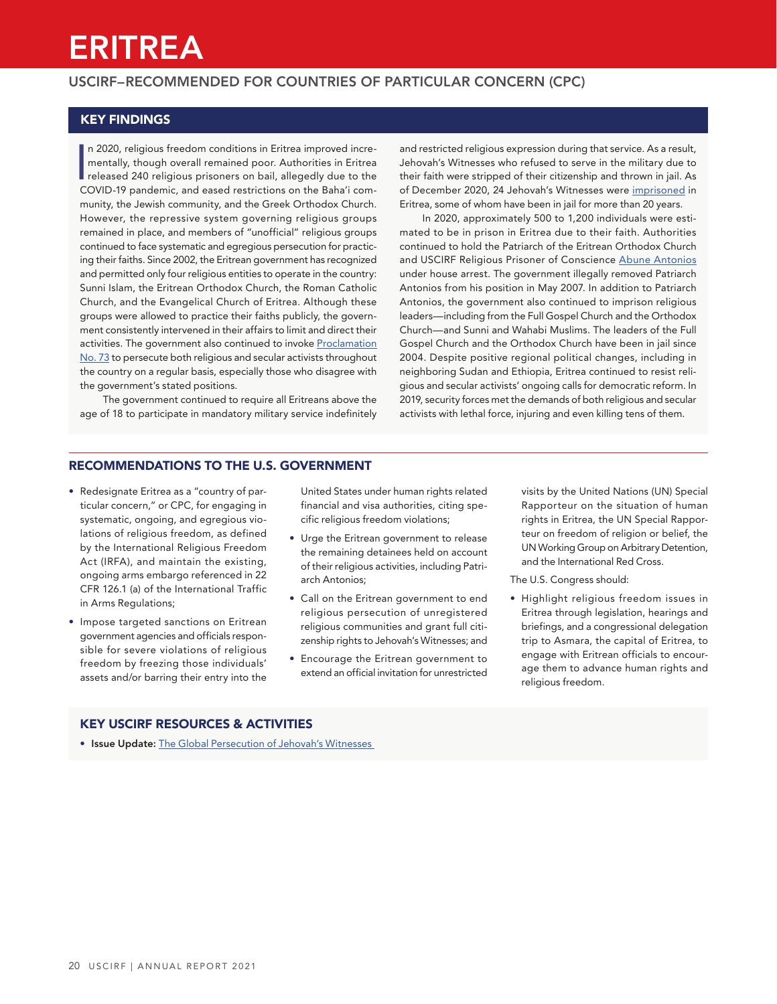# ERITREA

## USCIRF–RECOMMENDED FOR COUNTRIES OF PARTICULAR CONCERN (CPC)

## KEY FINDINGS

n 2020, religious freedom conditions in Eritrea improved incre-<br>
mentally, though overall remained poor. Authorities in Eritrea<br>
released 240 religious prisoners on bail, allegedly due to the<br>
COVID 19 paradomia and assed n 2020, religious freedom conditions in Eritrea improved incrementally, though overall remained poor. Authorities in Eritrea COVID-19 pandemic, and eased restrictions on the Baha'i community, the Jewish community, and the Greek Orthodox Church. However, the repressive system governing religious groups remained in place, and members of "unofficial" religious groups continued to face systematic and egregious persecution for practicing their faiths. Since 2002, the Eritrean government has recognized and permitted only four religious entities to operate in the country: Sunni Islam, the Eritrean Orthodox Church, the Roman Catholic Church, and the Evangelical Church of Eritrea. Although these groups were allowed to practice their faiths publicly, the government consistently intervened in their affairs to limit and direct their activities. The government also continued to invoke [Proclamation](https://www.refworld.org/docid/48aec42b2.html) [No. 73](https://www.refworld.org/docid/48aec42b2.html) to persecute both religious and secular activists throughout the country on a regular basis, especially those who disagree with the government's stated positions.

The government continued to require all Eritreans above the age of 18 to participate in mandatory military service indefinitely and restricted religious expression during that service. As a result, Jehovah's Witnesses who refused to serve in the military due to their faith were stripped of their citizenship and thrown in jail. As of December 2020, 24 Jehovah's Witnesses were [imprisoned](https://www.jw.org/en/news/legal/by-region/eritrea/jehovahs-witnesses-in-prison/) in Eritrea, some of whom have been in jail for more than 20 years.

In 2020, approximately 500 to 1,200 individuals were estimated to be in prison in Eritrea due to their faith. Authorities continued to hold the Patriarch of the Eritrean Orthodox Church and USCIRF Religious Prisoner of Conscience [Abune Antonios](https://www.uscirf.gov/religious-prisoners-conscience/current-rpocs/patriarch-abune-antonios) under house arrest. The government illegally removed Patriarch Antonios from his position in May 2007. In addition to Patriarch Antonios, the government also continued to imprison religious leaders—including from the Full Gospel Church and the Orthodox Church—and Sunni and Wahabi Muslims. The leaders of the Full Gospel Church and the Orthodox Church have been in jail since 2004. Despite positive regional political changes, including in neighboring Sudan and Ethiopia, Eritrea continued to resist religious and secular activists' ongoing calls for democratic reform. In 2019, security forces met the demands of both religious and secular activists with lethal force, injuring and even killing tens of them.

## RECOMMENDATIONS TO THE U.S. GOVERNMENT

- Redesignate Eritrea as a "country of particular concern," or CPC, for engaging in systematic, ongoing, and egregious violations of religious freedom, as defined by the International Religious Freedom Act (IRFA), and maintain the existing, ongoing arms embargo referenced in 22 CFR 126.1 (a) of the International Traffic in Arms Regulations;
- Impose targeted sanctions on Eritrean government agencies and officials responsible for severe violations of religious freedom by freezing those individuals' assets and/or barring their entry into the

United States under human rights related financial and visa authorities, citing specific religious freedom violations;

- Urge the Eritrean government to release the remaining detainees held on account of their religious activities, including Patriarch Antonios;
- Call on the Eritrean government to end religious persecution of unregistered religious communities and grant full citizenship rights to Jehovah's Witnesses; and
- Encourage the Eritrean government to extend an official invitation for unrestricted

visits by the United Nations (UN) Special Rapporteur on the situation of human rights in Eritrea, the UN Special Rapporteur on freedom of religion or belief, the UN Working Group on Arbitrary Detention, and the International Red Cross.

The U.S. Congress should:

• Highlight religious freedom issues in Eritrea through legislation, hearings and briefings, and a congressional delegation trip to Asmara, the capital of Eritrea, to engage with Eritrean officials to encourage them to advance human rights and religious freedom.

## KEY USCIRF RESOURCES & ACTIVITIES

• Issue Update: [The Global Persecution of Jehovah's Witnesses](https://www.uscirf.gov/sites/default/files/2020%20Issue%20Update%20-%20Jehovahs%20Witnesses.pdf)